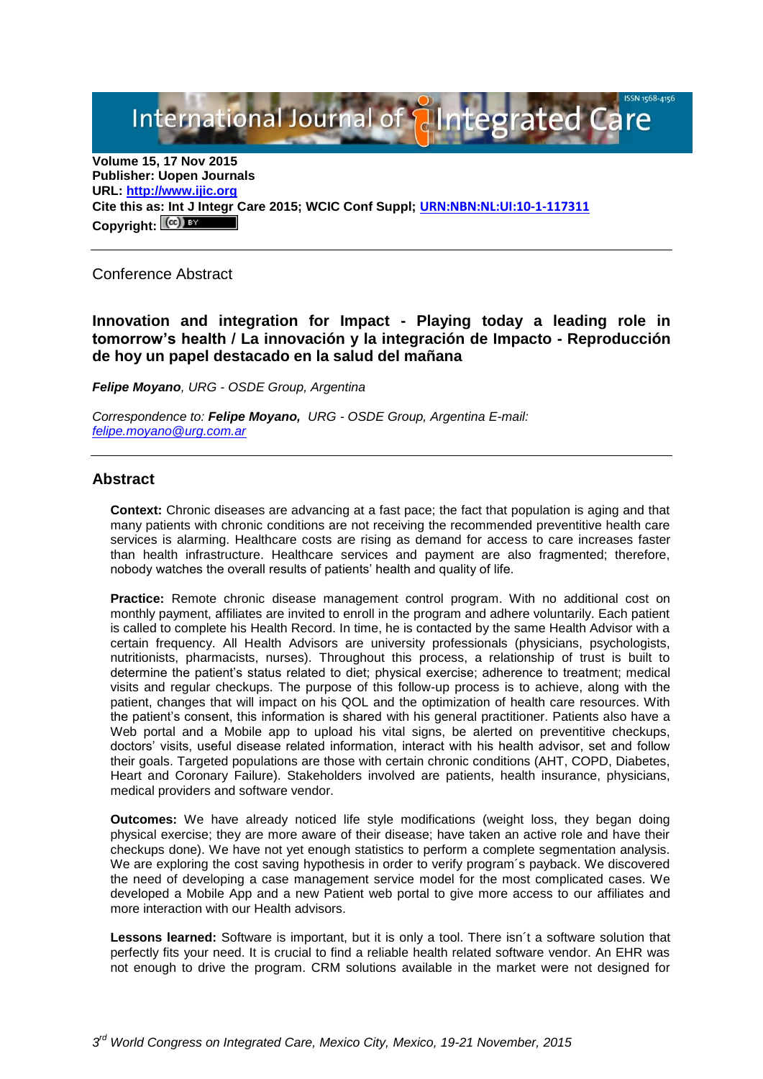International Journal of **Alntegrated Care** 

**Volume 15, 17 Nov 2015 Publisher: Uopen Journals URL: [http://www.ijic.org](http://www.ijic.org/) Cite this as: Int J Integr Care 2015; WCIC Conf Suppl; [URN:NBN:NL:UI:10-1-117311](http://persistent-identifier.nl/?identifier=URN:NBN:NL:UI:10-1-117311)** Copyright:  $(Cc)$ 

Conference Abstract

**Innovation and integration for Impact - Playing today a leading role in tomorrow's health / La innovación y la integración de Impacto - Reproducción de hoy un papel destacado en la salud del mañana**

*Felipe Moyano, URG - OSDE Group, Argentina*

*Correspondence to: Felipe Moyano, URG - OSDE Group, Argentina E-mail: [felipe.moyano@urg.com.ar](mailto:felipe.moyano@urg.com.ar)*

## **Abstract**

**Context:** Chronic diseases are advancing at a fast pace; the fact that population is aging and that many patients with chronic conditions are not receiving the recommended preventitive health care services is alarming. Healthcare costs are rising as demand for access to care increases faster than health infrastructure. Healthcare services and payment are also fragmented; therefore, nobody watches the overall results of patients' health and quality of life.

**Practice:** Remote chronic disease management control program. With no additional cost on monthly payment, affiliates are invited to enroll in the program and adhere voluntarily. Each patient is called to complete his Health Record. In time, he is contacted by the same Health Advisor with a certain frequency. All Health Advisors are university professionals (physicians, psychologists, nutritionists, pharmacists, nurses). Throughout this process, a relationship of trust is built to determine the patient's status related to diet; physical exercise; adherence to treatment; medical visits and regular checkups. The purpose of this follow-up process is to achieve, along with the patient, changes that will impact on his QOL and the optimization of health care resources. With the patient's consent, this information is shared with his general practitioner. Patients also have a Web portal and a Mobile app to upload his vital signs, be alerted on preventitive checkups, doctors' visits, useful disease related information, interact with his health advisor, set and follow their goals. Targeted populations are those with certain chronic conditions (AHT, COPD, Diabetes, Heart and Coronary Failure). Stakeholders involved are patients, health insurance, physicians, medical providers and software vendor.

**Outcomes:** We have already noticed life style modifications (weight loss, they began doing physical exercise; they are more aware of their disease; have taken an active role and have their checkups done). We have not yet enough statistics to perform a complete segmentation analysis. We are exploring the cost saving hypothesis in order to verify program's payback. We discovered the need of developing a case management service model for the most complicated cases. We developed a Mobile App and a new Patient web portal to give more access to our affiliates and more interaction with our Health advisors.

**Lessons learned:** Software is important, but it is only a tool. There isn´t a software solution that perfectly fits your need. It is crucial to find a reliable health related software vendor. An EHR was not enough to drive the program. CRM solutions available in the market were not designed for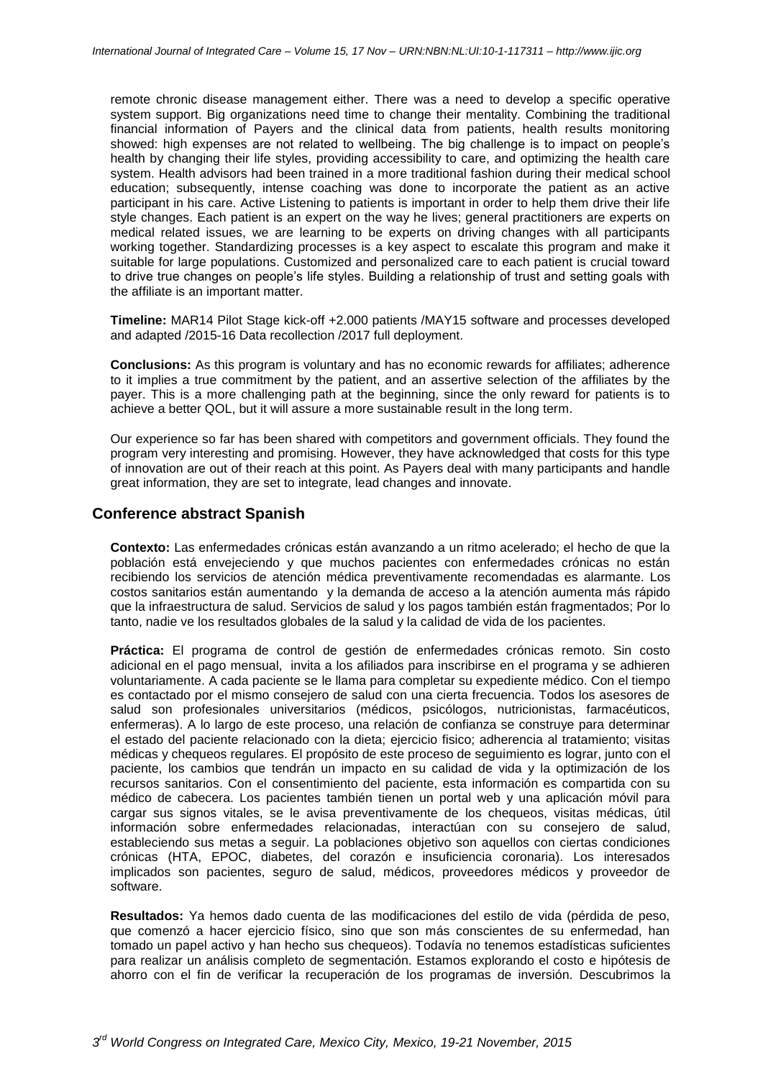remote chronic disease management either. There was a need to develop a specific operative system support. Big organizations need time to change their mentality. Combining the traditional financial information of Payers and the clinical data from patients, health results monitoring showed: high expenses are not related to wellbeing. The big challenge is to impact on people's health by changing their life styles, providing accessibility to care, and optimizing the health care system. Health advisors had been trained in a more traditional fashion during their medical school education; subsequently, intense coaching was done to incorporate the patient as an active participant in his care. Active Listening to patients is important in order to help them drive their life style changes. Each patient is an expert on the way he lives; general practitioners are experts on medical related issues, we are learning to be experts on driving changes with all participants working together. Standardizing processes is a key aspect to escalate this program and make it suitable for large populations. Customized and personalized care to each patient is crucial toward to drive true changes on people's life styles. Building a relationship of trust and setting goals with the affiliate is an important matter.

**Timeline:** MAR14 Pilot Stage kick-off +2.000 patients /MAY15 software and processes developed and adapted /2015-16 Data recollection /2017 full deployment.

**Conclusions:** As this program is voluntary and has no economic rewards for affiliates; adherence to it implies a true commitment by the patient, and an assertive selection of the affiliates by the payer. This is a more challenging path at the beginning, since the only reward for patients is to achieve a better QOL, but it will assure a more sustainable result in the long term.

Our experience so far has been shared with competitors and government officials. They found the program very interesting and promising. However, they have acknowledged that costs for this type of innovation are out of their reach at this point. As Payers deal with many participants and handle great information, they are set to integrate, lead changes and innovate.

## **Conference abstract Spanish**

**Contexto:** Las enfermedades crónicas están avanzando a un ritmo acelerado; el hecho de que la población está envejeciendo y que muchos pacientes con enfermedades crónicas no están recibiendo los servicios de atención médica preventivamente recomendadas es alarmante. Los costos sanitarios están aumentando y la demanda de acceso a la atención aumenta más rápido que la infraestructura de salud. Servicios de salud y los pagos también están fragmentados; Por lo tanto, nadie ve los resultados globales de la salud y la calidad de vida de los pacientes.

**Práctica:** El programa de control de gestión de enfermedades crónicas remoto. Sin costo adicional en el pago mensual, invita a los afiliados para inscribirse en el programa y se adhieren voluntariamente. A cada paciente se le llama para completar su expediente médico. Con el tiempo es contactado por el mismo consejero de salud con una cierta frecuencia. Todos los asesores de salud son profesionales universitarios (médicos, psicólogos, nutricionistas, farmacéuticos, enfermeras). A lo largo de este proceso, una relación de confianza se construye para determinar el estado del paciente relacionado con la dieta; ejercicio fisico; adherencia al tratamiento; visitas médicas y chequeos regulares. El propósito de este proceso de seguimiento es lograr, junto con el paciente, los cambios que tendrán un impacto en su calidad de vida y la optimización de los recursos sanitarios. Con el consentimiento del paciente, esta información es compartida con su médico de cabecera. Los pacientes también tienen un portal web y una aplicación móvil para cargar sus signos vitales, se le avisa preventivamente de los chequeos, visitas médicas, útil información sobre enfermedades relacionadas, interactúan con su consejero de salud, estableciendo sus metas a seguir. La poblaciones objetivo son aquellos con ciertas condiciones crónicas (HTA, EPOC, diabetes, del corazón e insuficiencia coronaria). Los interesados implicados son pacientes, seguro de salud, médicos, proveedores médicos y proveedor de software.

**Resultados:** Ya hemos dado cuenta de las modificaciones del estilo de vida (pérdida de peso, que comenzó a hacer ejercicio físico, sino que son más conscientes de su enfermedad, han tomado un papel activo y han hecho sus chequeos). Todavía no tenemos estadísticas suficientes para realizar un análisis completo de segmentación. Estamos explorando el costo e hipótesis de ahorro con el fin de verificar la recuperación de los programas de inversión. Descubrimos la